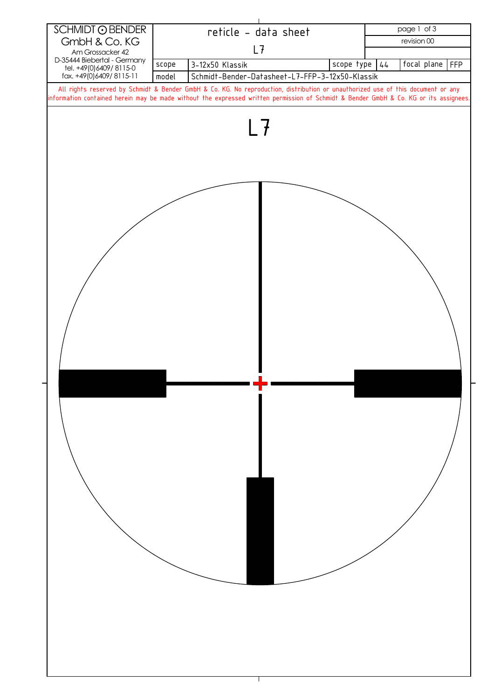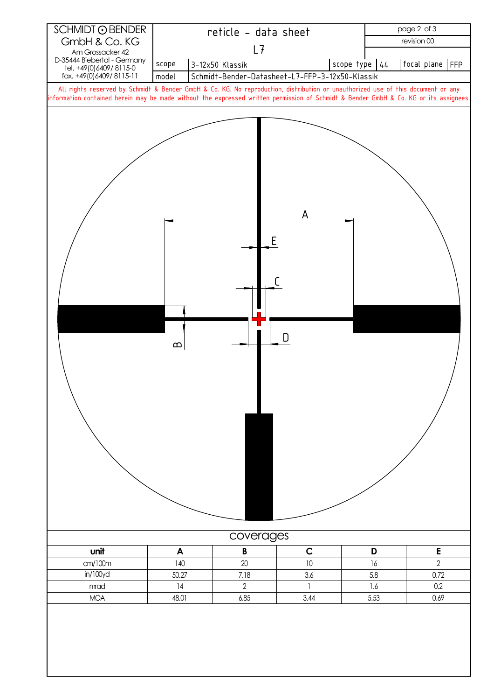